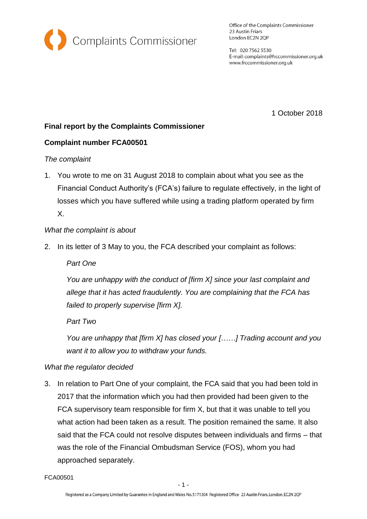

Office of the Complaints Commissioner 23 Austin Friars London EC2N 2QP

Tel: 020 7562 5530 E-mail: complaints@frccommissioner.org.uk www.frccommissioner.org.uk

1 October 2018

# **Final report by the Complaints Commissioner**

## **Complaint number FCA00501**

## *The complaint*

1. You wrote to me on 31 August 2018 to complain about what you see as the Financial Conduct Authority's (FCA's) failure to regulate effectively, in the light of losses which you have suffered while using a trading platform operated by firm X.

## *What the complaint is about*

2. In its letter of 3 May to you, the FCA described your complaint as follows:

*Part One*

*You are unhappy with the conduct of [firm X] since your last complaint and allege that it has acted fraudulently. You are complaining that the FCA has failed to properly supervise [firm X].*

*Part Two*

*You are unhappy that [firm X] has closed your [……] Trading account and you want it to allow you to withdraw your funds.*

## *What the regulator decided*

3. In relation to Part One of your complaint, the FCA said that you had been told in 2017 that the information which you had then provided had been given to the FCA supervisory team responsible for firm X, but that it was unable to tell you what action had been taken as a result. The position remained the same. It also said that the FCA could not resolve disputes between individuals and firms – that was the role of the Financial Ombudsman Service (FOS), whom you had approached separately.

FCA00501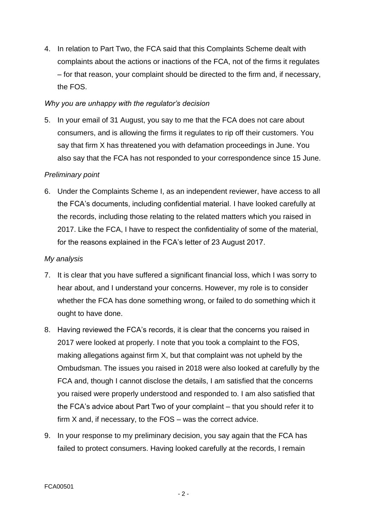4. In relation to Part Two, the FCA said that this Complaints Scheme dealt with complaints about the actions or inactions of the FCA, not of the firms it regulates – for that reason, your complaint should be directed to the firm and, if necessary, the FOS.

#### *Why you are unhappy with the regulator's decision*

5. In your email of 31 August, you say to me that the FCA does not care about consumers, and is allowing the firms it regulates to rip off their customers. You say that firm X has threatened you with defamation proceedings in June. You also say that the FCA has not responded to your correspondence since 15 June.

## *Preliminary point*

6. Under the Complaints Scheme I, as an independent reviewer, have access to all the FCA's documents, including confidential material. I have looked carefully at the records, including those relating to the related matters which you raised in 2017. Like the FCA, I have to respect the confidentiality of some of the material, for the reasons explained in the FCA's letter of 23 August 2017.

#### *My analysis*

- 7. It is clear that you have suffered a significant financial loss, which I was sorry to hear about, and I understand your concerns. However, my role is to consider whether the FCA has done something wrong, or failed to do something which it ought to have done.
- 8. Having reviewed the FCA's records, it is clear that the concerns you raised in 2017 were looked at properly. I note that you took a complaint to the FOS, making allegations against firm X, but that complaint was not upheld by the Ombudsman. The issues you raised in 2018 were also looked at carefully by the FCA and, though I cannot disclose the details, I am satisfied that the concerns you raised were properly understood and responded to. I am also satisfied that the FCA's advice about Part Two of your complaint – that you should refer it to firm X and, if necessary, to the FOS – was the correct advice.
- 9. In your response to my preliminary decision, you say again that the FCA has failed to protect consumers. Having looked carefully at the records, I remain